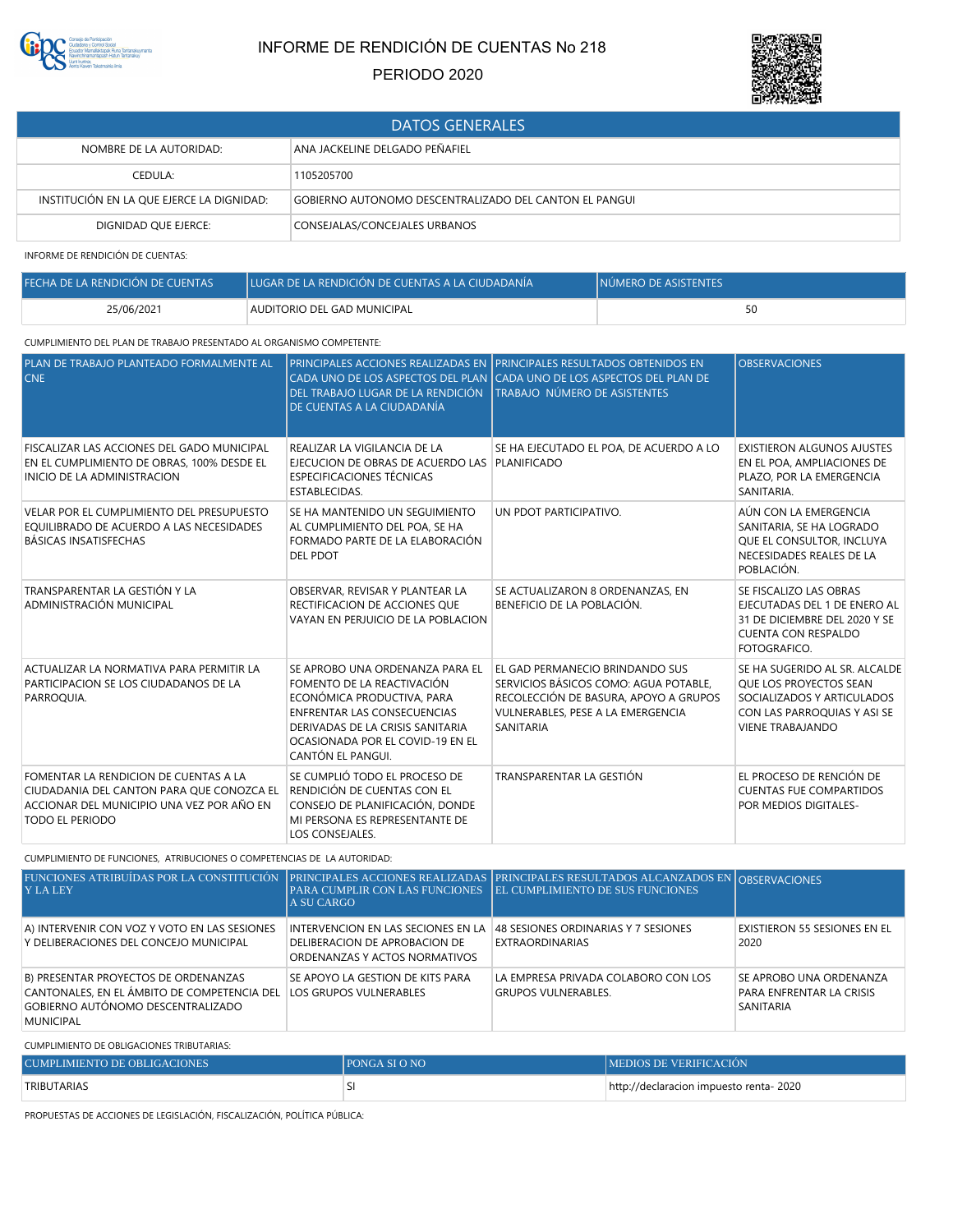

## INFORME DE RENDICIÓN DE CUENTAS No 218

## PERIODO 2020



| <b>DATOS GENERALES</b>                    |                                                        |  |
|-------------------------------------------|--------------------------------------------------------|--|
| NOMBRE DE LA AUTORIDAD:                   | ANA JACKELINE DELGADO PEÑAFIEL                         |  |
| CEDULA:                                   | 1105205700                                             |  |
| INSTITUCIÓN EN LA QUE EJERCE LA DIGNIDAD: | GOBIERNO AUTONOMO DESCENTRALIZADO DEL CANTON EL PANGUI |  |
| DIGNIDAD OUE EJERCE:                      | CONSEJALAS/CONCEJALES URBANOS                          |  |

INFORME DE RENDICIÓN DE CUENTAS:

| FECHA DE LA RENDICIÓN DE CUENTAS | LUGAR DE LA RENDICIÓN DE CUENTAS A LA CIUDADANÍA | <b>INÚMERO DE ASISTENTES</b> |
|----------------------------------|--------------------------------------------------|------------------------------|
| 25/06/2021                       | AUDITORIO DEL GAD MUNICIPAL                      | 50                           |

## CUMPLIMIENTO DEL PLAN DE TRABAJO PRESENTADO AL ORGANISMO COMPETENTE:

| PLAN DE TRABAJO PLANTEADO FORMALMENTE AL<br><b>CNE</b>                                                                                                    | DEL TRABAJO LUGAR DE LA RENDICIÓN<br>DE CUENTAS A LA CIUDADANÍA                                                                                                                                                                | PRINCIPALES ACCIONES REALIZADAS EN TPRINCIPALES RESULTADOS OBTENIDOS EN<br>CADA UNO DE LOS ASPECTOS DEL PLAN (CADA UNO DE LOS ASPECTOS DEL PLAN DE<br><b>TRABAJO NÚMERO DE ASISTENTES</b> | <b>OBSERVACIONES</b>                                                                                                                                   |
|-----------------------------------------------------------------------------------------------------------------------------------------------------------|--------------------------------------------------------------------------------------------------------------------------------------------------------------------------------------------------------------------------------|-------------------------------------------------------------------------------------------------------------------------------------------------------------------------------------------|--------------------------------------------------------------------------------------------------------------------------------------------------------|
| FISCALIZAR LAS ACCIONES DEL GADO MUNICIPAL<br>EN EL CUMPLIMIENTO DE OBRAS, 100% DESDE EL<br>INICIO DE LA ADMINISTRACION                                   | REALIZAR LA VIGILANCIA DE LA<br>EJECUCION DE OBRAS DE ACUERDO LAS PLANIFICADO<br><b>ESPECIFICACIONES TÉCNICAS</b><br>ESTABLECIDAS.                                                                                             | SE HA EJECUTADO EL POA, DE ACUERDO A LO                                                                                                                                                   | <b>EXISTIERON ALGUNOS AJUSTES</b><br>EN EL POA, AMPLIACIONES DE<br>PLAZO, POR LA EMERGENCIA<br>SANITARIA.                                              |
| VELAR POR EL CUMPLIMIENTO DEL PRESUPUESTO<br>EQUILIBRADO DE ACUERDO A LAS NECESIDADES<br>BÁSICAS INSATISFECHAS                                            | SE HA MANTENIDO UN SEGUIMIENTO<br>AL CUMPLIMIENTO DEL POA, SE HA<br>FORMADO PARTE DE LA ELABORACIÓN<br><b>DEL PDOT</b>                                                                                                         | UN PDOT PARTICIPATIVO.                                                                                                                                                                    | AÚN CON LA EMERGENCIA<br>SANITARIA, SE HA LOGRADO<br>QUE EL CONSULTOR, INCLUYA<br>NECESIDADES REALES DE LA<br>POBLACIÓN.                               |
| TRANSPARENTAR LA GESTIÓN Y LA<br>ADMINISTRACIÓN MUNICIPAL                                                                                                 | OBSERVAR, REVISAR Y PLANTEAR LA<br>RECTIFICACION DE ACCIONES OUE<br>VAYAN EN PERJUICIO DE LA POBLACION                                                                                                                         | SE ACTUALIZARON 8 ORDENANZAS, EN<br>BENEFICIO DE LA POBLACIÓN.                                                                                                                            | SE FISCALIZO LAS OBRAS<br>EJECUTADAS DEL 1 DE ENERO AL<br>31 DE DICIEMBRE DEL 2020 Y SE<br>CUENTA CON RESPALDO<br>FOTOGRAFICO.                         |
| ACTUALIZAR LA NORMATIVA PARA PERMITIR LA<br>PARTICIPACION SE LOS CIUDADANOS DE LA<br>PARROOUIA.                                                           | SE APROBO UNA ORDENANZA PARA EL<br>FOMENTO DE LA REACTIVACIÓN<br>ECONÓMICA PRODUCTIVA, PARA<br><b>ENFRENTAR LAS CONSECUENCIAS</b><br>DERIVADAS DE LA CRISIS SANITARIA<br>OCASIONADA POR EL COVID-19 EN EL<br>CANTÓN EL PANGUI. | EL GAD PERMANECIO BRINDANDO SUS<br>SERVICIOS BÁSICOS COMO: AGUA POTABLE.<br>RECOLECCIÓN DE BASURA, APOYO A GRUPOS<br>VULNERABLES, PESE A LA EMERGENCIA<br><b>SANITARIA</b>                | SE HA SUGERIDO AL SR. ALCALDE<br><b>OUE LOS PROYECTOS SEAN</b><br>SOCIALIZADOS Y ARTICULADOS<br>CON LAS PARROQUIAS Y ASI SE<br><b>VIENE TRABAJANDO</b> |
| FOMENTAR LA RENDICION DE CUENTAS A LA<br>CIUDADANIA DEL CANTON PARA QUE CONOZCA EL<br>ACCIONAR DEL MUNICIPIO UNA VEZ POR AÑO EN<br><b>TODO EL PERIODO</b> | SE CUMPLIÓ TODO EL PROCESO DE<br>RENDICIÓN DE CUENTAS CON EL<br>CONSEJO DE PLANIFICACIÓN, DONDE<br>MI PERSONA ES REPRESENTANTE DE<br>LOS CONSEJALES.                                                                           | TRANSPARENTAR LA GESTIÓN                                                                                                                                                                  | EL PROCESO DE RENCIÓN DE<br><b>CUENTAS FUE COMPARTIDOS</b><br>POR MEDIOS DIGITALES-                                                                    |

CUMPLIMIENTO DE FUNCIONES, ATRIBUCIONES O COMPETENCIAS DE LA AUTORIDAD:

| <b>FUNCIONES ATRIBUÍDAS POR LA CONSTITUCIÓN</b><br><b>Y LA LEY</b>                                                                    | A SU CARGO                                                                                           | <b>PRINCIPALES ACCIONES REALIZADAS PRINCIPALES RESULTADOS ALCANZADOS EN OBSERVACIONES</b><br>PARA CUMPLIR CON LAS FUNCIONES   EL CUMPLIMIENTO DE SUS FUNCIONES |                                                                         |
|---------------------------------------------------------------------------------------------------------------------------------------|------------------------------------------------------------------------------------------------------|----------------------------------------------------------------------------------------------------------------------------------------------------------------|-------------------------------------------------------------------------|
| A) INTERVENIR CON VOZ Y VOTO EN LAS SESIONES<br>Y DELIBERACIONES DEL CONCEJO MUNICIPAL                                                | INTERVENCION EN LAS SECIONES EN LA<br>DELIBERACION DE APROBACION DE<br>ORDENANZAS Y ACTOS NORMATIVOS | 48 SESIONES ORDINARIAS Y 7 SESIONES<br><b>EXTRAORDINARIAS</b>                                                                                                  | <b>EXISTIERON 55 SESIONES EN EL</b><br>2020                             |
| B) PRESENTAR PROYECTOS DE ORDENANZAS<br>CANTONALES, EN EL ÁMBITO DE COMPETENCIA DEL<br>GOBIERNO AUTÓNOMO DESCENTRALIZADO<br>MUNICIPAL | SE APOYO LA GESTION DE KITS PARA<br>LOS GRUPOS VULNERABLES                                           | LA EMPRESA PRIVADA COLABORO CON LOS<br><b>GRUPOS VULNERABLES.</b>                                                                                              | SE APROBO UNA ORDENANZA<br>PARA ENFRENTAR LA CRISIS<br><b>SANITARIA</b> |

CUMPLIMIENTO DE OBLIGACIONES TRIBUTARIAS:

| CUMPLIMIENTO DE OBLIGACIONES | <b>IPONGA SI O NO</b> | <b>IMEDIOS DE VERIFICACIÓN</b>          |
|------------------------------|-----------------------|-----------------------------------------|
| <b>TRIBUTARIAS</b>           |                       | http://declaracion impuesto renta- 2020 |

PROPUESTAS DE ACCIONES DE LEGISLACIÓN, FISCALIZACIÓN, POLÍTICA PÚBLICA: